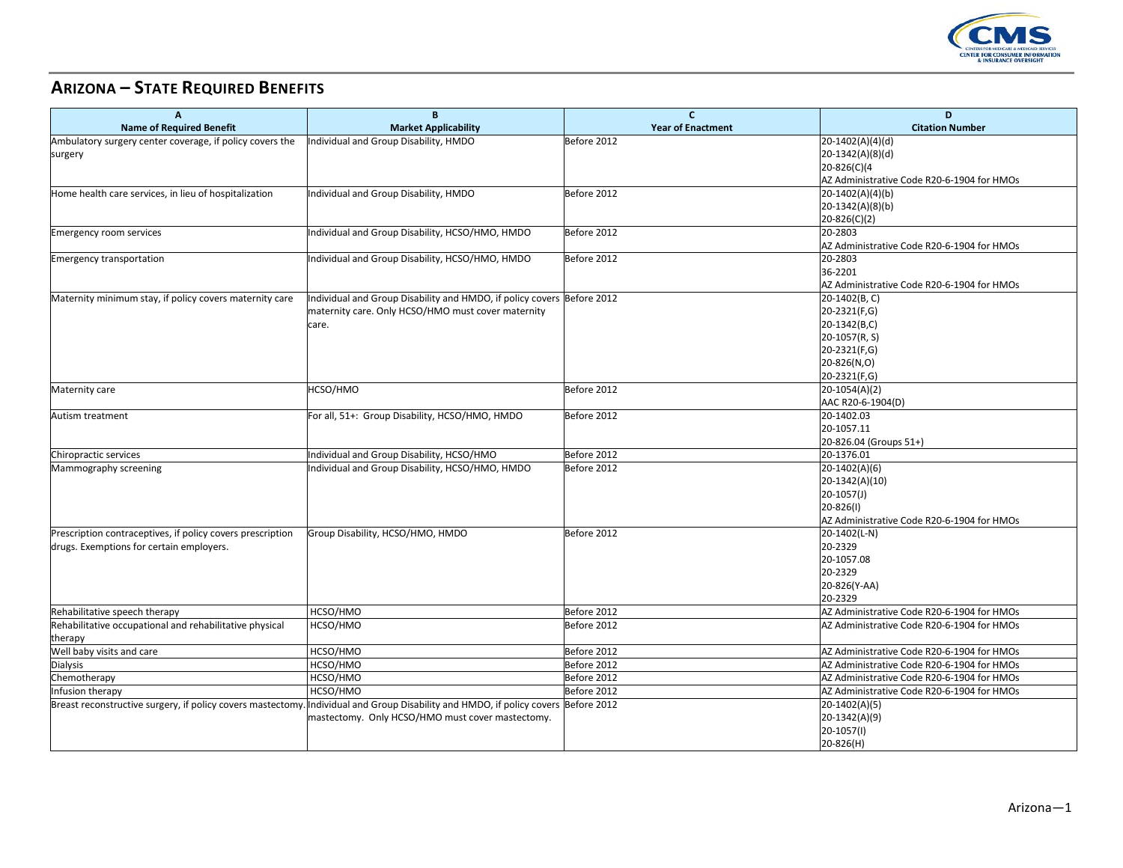

## **ARIZONA – STATE REQUIRED BENEFITS**

| A                                                          | B                                                                                                                                  | $\mathbf{C}$             | D                                          |
|------------------------------------------------------------|------------------------------------------------------------------------------------------------------------------------------------|--------------------------|--------------------------------------------|
| <b>Name of Required Benefit</b>                            | <b>Market Applicability</b>                                                                                                        | <b>Year of Enactment</b> | <b>Citation Number</b>                     |
| Ambulatory surgery center coverage, if policy covers the   | Individual and Group Disability, HMDO                                                                                              | Before 2012              | $20-1402(A)(4)(d)$                         |
| surgery                                                    |                                                                                                                                    |                          | 20-1342(A)(8)(d)                           |
|                                                            |                                                                                                                                    |                          | 20-826(C)(4                                |
|                                                            |                                                                                                                                    |                          | AZ Administrative Code R20-6-1904 for HMOs |
| Home health care services, in lieu of hospitalization      | Individual and Group Disability, HMDO                                                                                              | Before 2012              | $20-1402(A)(4)(b)$                         |
|                                                            |                                                                                                                                    |                          | 20-1342(A)(8)(b)                           |
|                                                            |                                                                                                                                    |                          | 20-826(C)(2)                               |
| <b>Emergency room services</b>                             | Individual and Group Disability, HCSO/HMO, HMDO                                                                                    | Before 2012              | 20-2803                                    |
|                                                            |                                                                                                                                    |                          | AZ Administrative Code R20-6-1904 for HMOs |
| <b>Emergency transportation</b>                            | Individual and Group Disability, HCSO/HMO, HMDO                                                                                    | Before 2012              | 20-2803                                    |
|                                                            |                                                                                                                                    |                          | 36-2201                                    |
|                                                            |                                                                                                                                    |                          | AZ Administrative Code R20-6-1904 for HMOs |
| Maternity minimum stay, if policy covers maternity care    | Individual and Group Disability and HMDO, if policy covers Before 2012                                                             |                          | 20-1402(B, C)                              |
|                                                            | maternity care. Only HCSO/HMO must cover maternity                                                                                 |                          | 20-2321(F,G)                               |
|                                                            | care.                                                                                                                              |                          | 20-1342(B,C)                               |
|                                                            |                                                                                                                                    |                          | 20-1057(R, S)                              |
|                                                            |                                                                                                                                    |                          | 20-2321(F,G)<br>20-826(N,O)                |
|                                                            |                                                                                                                                    |                          | 20-2321(F,G)                               |
| Maternity care                                             | HCSO/HMO                                                                                                                           | Before 2012              | $20-1054(A)(2)$                            |
|                                                            |                                                                                                                                    |                          | AAC R20-6-1904(D)                          |
| Autism treatment                                           | For all, 51+: Group Disability, HCSO/HMO, HMDO                                                                                     | Before 2012              | 20-1402.03                                 |
|                                                            |                                                                                                                                    |                          | 20-1057.11                                 |
|                                                            |                                                                                                                                    |                          | 20-826.04 (Groups 51+)                     |
| Chiropractic services                                      | Individual and Group Disability, HCSO/HMO                                                                                          | Before 2012              | 20-1376.01                                 |
| Mammography screening                                      | Individual and Group Disability, HCSO/HMO, HMDO                                                                                    | Before 2012              | 20-1402(A)(6)                              |
|                                                            |                                                                                                                                    |                          | 20-1342(A)(10)                             |
|                                                            |                                                                                                                                    |                          | $20-1057(J)$                               |
|                                                            |                                                                                                                                    |                          | 20-826(1)                                  |
|                                                            |                                                                                                                                    |                          | AZ Administrative Code R20-6-1904 for HMOs |
| Prescription contraceptives, if policy covers prescription | Group Disability, HCSO/HMO, HMDO                                                                                                   | Before 2012              | 20-1402(L-N)                               |
| drugs. Exemptions for certain employers.                   |                                                                                                                                    |                          | 20-2329                                    |
|                                                            |                                                                                                                                    |                          | 20-1057.08                                 |
|                                                            |                                                                                                                                    |                          | 20-2329                                    |
|                                                            |                                                                                                                                    |                          | 20-826(Y-AA)                               |
|                                                            |                                                                                                                                    |                          | 20-2329                                    |
| Rehabilitative speech therapy                              | HCSO/HMO                                                                                                                           | Before 2012              | AZ Administrative Code R20-6-1904 for HMOs |
| Rehabilitative occupational and rehabilitative physical    | HCSO/HMO                                                                                                                           | Before 2012              | AZ Administrative Code R20-6-1904 for HMOs |
| therapy                                                    |                                                                                                                                    |                          |                                            |
| Well baby visits and care                                  | HCSO/HMO                                                                                                                           | Before 2012              | AZ Administrative Code R20-6-1904 for HMOs |
| Dialysis                                                   | HCSO/HMO                                                                                                                           | Before 2012              | AZ Administrative Code R20-6-1904 for HMOs |
| Chemotherapy                                               | HCSO/HMO                                                                                                                           | Before 2012              | AZ Administrative Code R20-6-1904 for HMOs |
| Infusion therapy                                           | HCSO/HMO                                                                                                                           | Before 2012              | AZ Administrative Code R20-6-1904 for HMOs |
|                                                            | Breast reconstructive surgery, if policy covers mastectomy. Individual and Group Disability and HMDO, if policy covers Before 2012 |                          | 20-1402(A)(5)                              |
|                                                            | mastectomy. Only HCSO/HMO must cover mastectomy.                                                                                   |                          | 20-1342(A)(9)                              |
|                                                            |                                                                                                                                    |                          | 20-1057(I)                                 |
|                                                            |                                                                                                                                    |                          | 20-826(H)                                  |